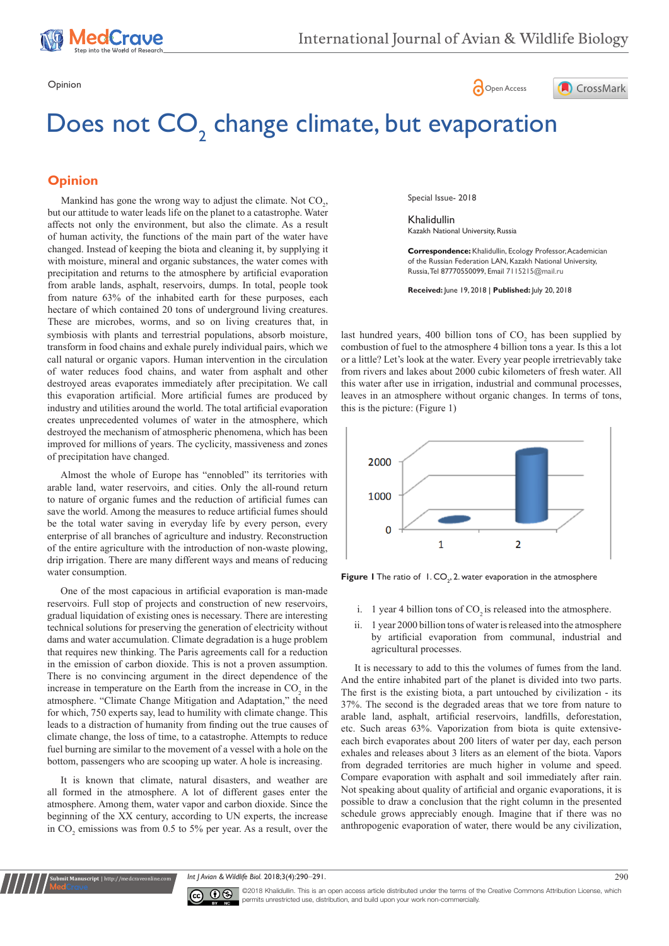





# Does not CO<sub>2</sub> change climate, but evaporation

# **Opinion**

symbiosis with plants and terrestrial populations, absorb moisture, transform in food chains and exhale purely individual pairs, which we call natural or organic vapors. Human intervention in the circulation of water reduces food chains, and water from asphalt and other destroyed areas evaporates immediately after precipitation. We call this evaporation artificial. More artificial fumes are produced by industry and utilities around the world. The total artificial evaporation creates unprecedented volumes of water in the atmosphere, which destroyed the mechanism of atmospheric phenomena, which has been improved for millions of years. The cyclicity, massiveness and zones of precipitation have changed. Mankind has gone the wrong way to adjust the climate. Not  $CO<sub>2</sub>$ , but our attitude to water leads life on the planet to a catastrophe. Water affects not only the environment, but also the climate. As a result of human activity, the functions of the main part of the water have changed. Instead of keeping the biota and cleaning it, by supplying it with moisture, mineral and organic substances, the water comes with precipitation and returns to the atmosphere by artificial evaporation from arable lands, asphalt, reservoirs, dumps. In total, people took from nature 63% of the inhabited earth for these purposes, each hectare of which contained 20 tons of underground living creatures. These are microbes, worms, and so on living creatures that, in

Almost the whole of Europe has "ennobled" its territories with arable land, water reservoirs, and cities. Only the all-round return to nature of organic fumes and the reduction of artificial fumes can save the world. Among the measures to reduce artificial fumes should be the total water saving in everyday life by every person, every enterprise of all branches of agriculture and industry. Reconstruction of the entire agriculture with the introduction of non-waste plowing, drip irrigation. There are many different ways and means of reducing water consumption.

One of the most capacious in artificial evaporation is man-made reservoirs. Full stop of projects and construction of new reservoirs, gradual liquidation of existing ones is necessary. There are interesting technical solutions for preserving the generation of electricity without dams and water accumulation. Climate degradation is a huge problem that requires new thinking. The Paris agreements call for a reduction in the emission of carbon dioxide. This is not a proven assumption. There is no convincing argument in the direct dependence of the increase in temperature on the Earth from the increase in  $CO<sub>2</sub>$  in the atmosphere. "Climate Change Mitigation and Adaptation," the need for which, 750 experts say, lead to humility with climate change. This leads to a distraction of humanity from finding out the true causes of climate change, the loss of time, to a catastrophe. Attempts to reduce fuel burning are similar to the movement of a vessel with a hole on the bottom, passengers who are scooping up water. A hole is increasing.

It is known that climate, natural disasters, and weather are all formed in the atmosphere. A lot of different gases enter the atmosphere. Among them, water vapor and carbon dioxide. Since the beginning of the XX century, according to UN experts, the increase in  $CO_2$  emissions was from 0.5 to 5% per year. As a result, over the

**it Manuscript** | http://medcraveo

Special Issue- 2018

Khalidullin Kazakh National University, Russia

**Correspondence:** Khalidullin, Ecology Professor, Academician of the Russian Federation LAN, Kazakh National University, Russia, Tel 87770550099, Email 7115215@mail.ru

**Received:** June 19, 2018 | **Published:** July 20, 2018

last hundred years, 400 billion tons of  $CO<sub>2</sub>$  has been supplied by combustion of fuel to the atmosphere 4 billion tons a year. Is this a lot or a little? Let's look at the water. Every year people irretrievably take from rivers and lakes about 2000 cubic kilometers of fresh water. All this water after use in irrigation, industrial and communal processes, leaves in an atmosphere without organic changes. In terms of tons, this is the picture: (Figure 1)



**Figure 1** The ratio of  $1$ .  $CO_2$ , 2. water evaporation in the atmosphere

- i. 1 year 4 billion tons of  $CO<sub>2</sub>$  is released into the atmosphere.
- ii. 1 year 2000 billion tons of water is released into the atmosphere by artificial evaporation from communal, industrial and agricultural processes.

It is necessary to add to this the volumes of fumes from the land. And the entire inhabited part of the planet is divided into two parts. The first is the existing biota, a part untouched by civilization - its 37%. The second is the degraded areas that we tore from nature to arable land, asphalt, artificial reservoirs, landfills, deforestation, etc. Such areas 63%. Vaporization from biota is quite extensiveeach birch evaporates about 200 liters of water per day, each person exhales and releases about 3 liters as an element of the biota. Vapors from degraded territories are much higher in volume and speed. Compare evaporation with asphalt and soil immediately after rain. Not speaking about quality of artificial and organic evaporations, it is possible to draw a conclusion that the right column in the presented schedule grows appreciably enough. Imagine that if there was no anthropogenic evaporation of water, there would be any civilization,

*Int J Avian & Wildlife Biol.* 2018;3(4):290‒291. 290



©2018 Khalidullin. This is an open access article distributed under the terms of the [Creative Commons Attribution License](https://creativecommons.org/licenses/by-nc/4.0/), which permits unrestricted use, distribution, and build upon your work non-commercially.